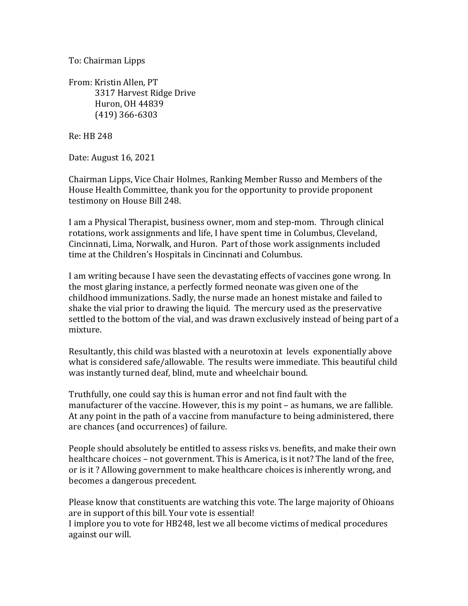To: Chairman Lipps

From: Kristin Allen, PT 3317 Harvest Ridge Drive Huron, OH 44839 (419) 366-6303

Re: HB 248

Date: August 16, 2021

Chairman Lipps, Vice Chair Holmes, Ranking Member Russo and Members of the House Health Committee, thank you for the opportunity to provide proponent testimony on House Bill 248.

I am a Physical Therapist, business owner, mom and step-mom. Through clinical rotations, work assignments and life, I have spent time in Columbus, Cleveland, Cincinnati, Lima, Norwalk, and Huron. Part of those work assignments included time at the Children's Hospitals in Cincinnati and Columbus.

I am writing because I have seen the devastating effects of vaccines gone wrong. In the most glaring instance, a perfectly formed neonate was given one of the childhood immunizations. Sadly, the nurse made an honest mistake and failed to shake the vial prior to drawing the liquid. The mercury used as the preservative settled to the bottom of the vial, and was drawn exclusively instead of being part of a mixture. 

Resultantly, this child was blasted with a neurotoxin at levels exponentially above what is considered safe/allowable. The results were immediate. This beautiful child was instantly turned deaf, blind, mute and wheelchair bound.

Truthfully, one could say this is human error and not find fault with the manufacturer of the vaccine. However, this is my point  $-$  as humans, we are fallible. At any point in the path of a vaccine from manufacture to being administered, there are chances (and occurrences) of failure.

People should absolutely be entitled to assess risks vs. benefits, and make their own healthcare choices – not government. This is America, is it not? The land of the free, or is it? Allowing government to make healthcare choices is inherently wrong, and becomes a dangerous precedent.

Please know that constituents are watching this vote. The large majority of Ohioans are in support of this bill. Your vote is essential!

I implore you to vote for HB248, lest we all become victims of medical procedures against our will.